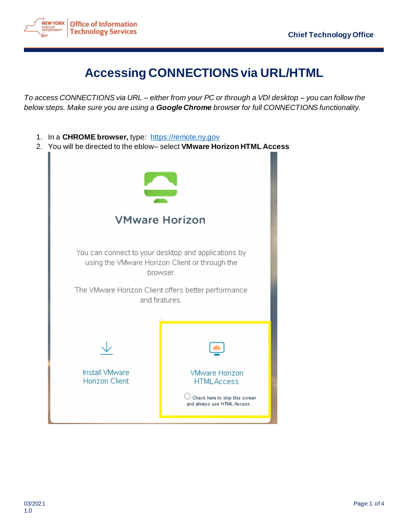

## **Accessing CONNECTIONS via URL/HTML**

*To access CONNECTIONS via URL – either from your PC or through a VDI desktop – you can follow the below steps. Make sure you are using a Google Chrome browser for full CONNECTIONS functionality.*

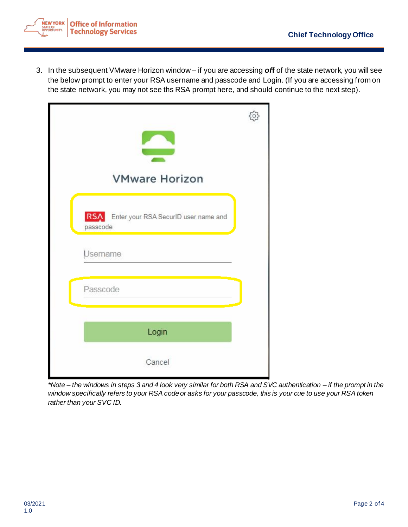

3. In the subsequent VMware Horizon window – if you are accessing *of***f** of the state network, you will see the below prompt to enter your RSA username and passcode and Login. (If you are accessing from on the state network, you may not see ths RSA prompt here, and should continue to the next step).



*\*Note – the windows in steps 3 and 4 look very similar for both RSA and SVC authentication – if the prompt in the window specifically refers to your RSA code or asks for your passcode, this is your cue to use your RSA token rather than your SVC ID.*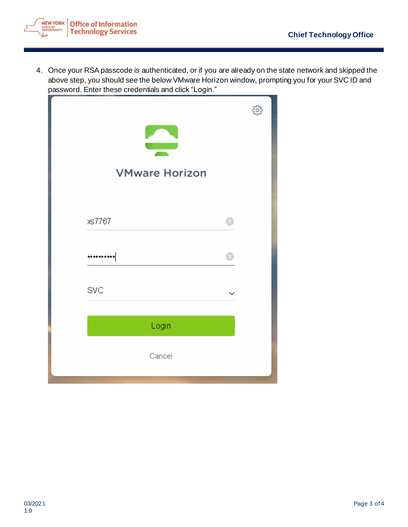

4. Once your RSA passcode is authenticated, or if you are already on the state network and skipped the above step, you should see the below VMware Horizon window, prompting you for your SVC ID and password. Enter these credentials and click "Login."

| <b>VMware Horizon</b> |  |
|-----------------------|--|
| xs7767                |  |
|                       |  |
| SVC                   |  |
| Login                 |  |
| Cancel                |  |